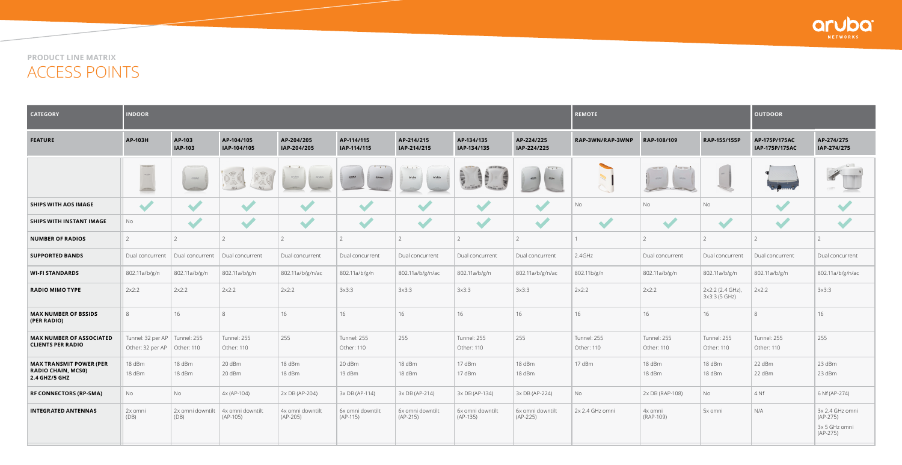**product line matrix** Access points



| <b>CATEGORY</b>                                                              | <b>INDOOR</b>                                                                                                         |                          |                                |                                |                                |                                          |                                |                                | <b>REMOTE</b>             |                           |                                   | <b>OUTDOOR</b>                  |                                                              |
|------------------------------------------------------------------------------|-----------------------------------------------------------------------------------------------------------------------|--------------------------|--------------------------------|--------------------------------|--------------------------------|------------------------------------------|--------------------------------|--------------------------------|---------------------------|---------------------------|-----------------------------------|---------------------------------|--------------------------------------------------------------|
| <b>FEATURE</b>                                                               | AP-103H                                                                                                               | AP-103<br><b>IAP-103</b> | AP-104/105<br>IAP-104/105      | AP-204/205<br>IAP-204/205      | AP-114/115<br>IAP-114/115      | AP-214/215<br>IAP-214/215                | AP-134/135<br>IAP-134/135      | AP-224/225<br>IAP-224/225      | RAP-3WN/RAP-3WNP          | RAP-108/109               | RAP-155/155P                      | AP-175P/175AC<br>IAP-175P/175AC | AP-274/275<br>IAP-274/275                                    |
|                                                                              | aruba<br>$\ldots \hspace{-0.0cm}\text{and}\hspace{-0.0cm} \text{min}\hspace{-0.05cm}\text{min}\hspace{-0.05cm}\ldots$ | $A\texttt{RURA}$         |                                | aruba<br>aruba                 | <b>ARUBA</b><br>Anuen          | $1 - x - 1$<br>aruba<br>a <sub>rbo</sub> |                                | ABUSA<br>Attm                  |                           | <b>MILLIAN MILLIAN</b>    |                                   |                                 | $\cdot$ $\cdot$                                              |
| <b>SHIPS WITH AOS IMAGE</b>                                                  | $\overline{\phantom{a}}$                                                                                              | $\blacktriangledown$     | $\blacktriangleright$          | $\blacktriangledown$           | $\blacktriangledown$           | $\blacktriangleright$                    | $\blacktriangleright$          |                                | No                        | <b>No</b>                 | No                                | $\blacktriangledown$            |                                                              |
| SHIPS WITH INSTANT IMAGE                                                     | No                                                                                                                    | $\blacktriangledown$     | $\blacktriangledown$           | $\blacktriangleright$          | $\blacktriangledown$           | $\blacktriangledown$                     | $\blacktriangledown$           | $\blacktriangledown$           | $\blacktriangleright$     | $\blacktriangledown$      | $\blacktriangledown$              | $\blacktriangledown$            | $\blacktriangledown$                                         |
| <b>NUMBER OF RADIOS</b>                                                      |                                                                                                                       |                          |                                |                                | 2                              |                                          |                                | $\overline{2}$                 |                           |                           |                                   |                                 |                                                              |
| <b>SUPPORTED BANDS</b>                                                       | Dual concurrent                                                                                                       | Dual concurrent          | Dual concurrent                | Dual concurrent                | Dual concurrent                | Dual concurrent                          | Dual concurrent                | Dual concurrent                | 2.4GHz                    | Dual concurrent           | Dual concurrent                   | Dual concurrent                 | Dual concurrent                                              |
| <b>WI-FI STANDARDS</b>                                                       | 802.11a/b/g/n                                                                                                         | 802.11a/b/g/n            | 802.11a/b/g/n                  | 802.11a/b/g/n/ac               | 802.11a/b/g/n                  | 802.11a/b/g/n/ac                         | 802.11a/b/g/n                  | 802.11a/b/g/n/ac               | 802.11b/g/n               | 802.11a/b/g/n             | 802.11a/b/g/n                     | 802.11a/b/g/n                   | 802.11a/b/g/n/ac                                             |
| <b>RADIO MIMO TYPE</b>                                                       | 2x2:2                                                                                                                 | 2x2:2                    | 2x2:2                          | 2x2:2                          | 3x3:3                          | 3x3:3                                    | 3x3:3                          | 3x3:3                          | 2x2:2                     | 2x2:2                     | 2x2:2 (2.4 GHz),<br>3x3:3 (5 GHz) | 2x2:2                           | 3x3:3                                                        |
| <b>MAX NUMBER OF BSSIDS</b><br>(PER RADIO)                                   | 8                                                                                                                     | 16                       |                                | 16                             | 16                             | 16                                       | 16                             | 16                             | 16                        | 16                        | 16                                | $\mathcal{R}$                   | 16                                                           |
| <b>MAX NUMBER OF ASSOCIATED</b><br><b>CLIENTS PER RADIO</b>                  | Tunnel: 32 per AP   Tunnel: 255<br>Other: 32 per AP                                                                   | Other: 110               | Tunnel: 255<br>Other: 110      | 255                            | Tunnel: 255<br>Other: 110      | 255                                      | Tunnel: 255<br>Other: 110      | 255                            | Tunnel: 255<br>Other: 110 | Tunnel: 255<br>Other: 110 | Tunnel: 255<br>Other: 110         | Tunnel: 255<br>Other: 110       | 255                                                          |
| <b>MAX TRANSMIT POWER (PER</b><br><b>RADIO CHAIN, MCS0)</b><br>2.4 GHZ/5 GHZ | 18 dBm<br>18 dBm                                                                                                      | 18 dBm<br>18 dBm         | 20 dBm<br>20 dBm               | 18 dBm<br>18 dBm               | 20 dBm<br>19 dBm               | 18 dBm<br>18 dBm                         | 17 dBm<br>17 dBm               | 18 dBm<br>18 dBm               | 17 dBm                    | 18 dBm<br>18 dBm          | 18 dBm<br>18 dBm                  | 22 dBm<br>22 dBm                | 23 dBm<br>23 dBm                                             |
| <b>RF CONNECTORS (RP-SMA)</b>                                                | No                                                                                                                    | No                       | $4x (AP-104)$                  | 2x DB (AP-204)                 | 3x DB (AP-114)                 | 3x DB (AP-214)                           | 3x DB (AP-134)                 | 3x DB (AP-224)                 | No                        | 2x DB (RAP-108)           | No                                | 4 Nf                            | 6 Nf (AP-274)                                                |
| <b>INTEGRATED ANTENNAS</b>                                                   | 2x omni<br>(DB)                                                                                                       | 2x omni downtilt<br>(DB) | 4x omni downtilt<br>$(AP-105)$ | 4x omni downtilt<br>$(AP-205)$ | 6x omni downtilt<br>$(AP-115)$ | 6x omni downtilt<br>$(AP-215)$           | 6x omni downtilt<br>$(AP-135)$ | 6x omni downtilt<br>$(AP-225)$ | 2x 2.4 GHz omni           | 4x omni<br>(RAP-109)      | 5x omni                           | N/A                             | 3x 2.4 GHz omni<br>$(AP-275)$<br>3x 5 GHz omni<br>$(AP-275)$ |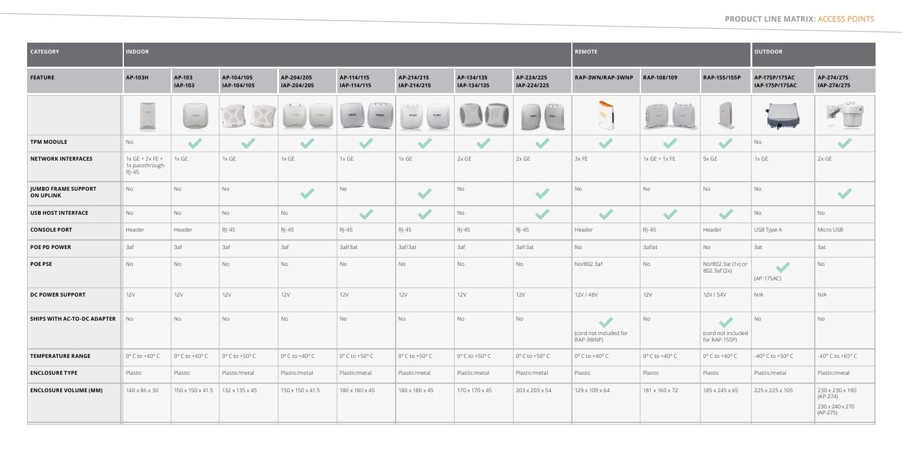## **product line matrix:** Access Points

| <b>CATEGORY</b>                                | <b>INDOOR</b>                                  |                                                                                                                                                                                                                                                                                                                        |                                   |                           |                                   |                           |                                   |                           | <b>REMOTE</b>                       |                         |                                                             | <b>OUTDOOR</b>                     |                                                                |
|------------------------------------------------|------------------------------------------------|------------------------------------------------------------------------------------------------------------------------------------------------------------------------------------------------------------------------------------------------------------------------------------------------------------------------|-----------------------------------|---------------------------|-----------------------------------|---------------------------|-----------------------------------|---------------------------|-------------------------------------|-------------------------|-------------------------------------------------------------|------------------------------------|----------------------------------------------------------------|
| <b>FEATURE</b>                                 | AP-103H                                        | AP-103<br><b>IAP-103</b>                                                                                                                                                                                                                                                                                               | AP-104/105<br>IAP-104/105         | AP-204/205<br>IAP-204/205 | AP-114/115<br>IAP-114/115         | AP-214/215<br>IAP-214/215 | AP-134/135<br>IAP-134/135         | AP-224/225<br>IAP-224/225 | RAP-3WN/RAP-3WNP                    | RAP-108/109             | RAP-155/155P                                                | AP-175P/175AC<br>IAP-175P/175AC    | AP-274/275<br>IAP-274/275                                      |
|                                                | $\ldots$                                       | $\begin{minipage}{.4\linewidth} \begin{tabular}{l} \bf 0.000000 & \bf 0.00000 & \bf 0.00000 & \bf 0.0000 & \bf 0.0000 & \bf 0.0000 & \bf 0.0000 & \bf 0.0000 & \bf 0.0000 & \bf 0.0000 & \bf 0.0000 & \bf 0.0000 & \bf 0.0000 & \bf 0.0000 & \bf 0.0000 & \bf 0.0000 & \bf 0.0000 & \bf 0.0000 & \bf 0.0000 & \bf 0.0$ |                                   | aruba                     | $T_{1}$<br><b>ARUBA</b><br>ARUB/  | $or$ ubo<br>aruba         |                                   | ASLEA<br>ARUBA            |                                     |                         |                                                             |                                    | $\cdot$ $\cdot$ $\cdot$                                        |
| <b>TPM MODULE</b>                              | No                                             | $\blacktriangledown$                                                                                                                                                                                                                                                                                                   | $\blacktriangleright$             |                           |                                   | $\bullet$                 | $\blacktriangledown$              |                           | $\blacktriangleright$               | $\bullet$               | $\overline{\phantom{a}}$                                    | No                                 |                                                                |
| <b>NETWORK INTERFACES</b>                      | $1x$ GE + $2x$ FE +<br>1x passthrough<br>RJ-45 | $1x$ GE                                                                                                                                                                                                                                                                                                                | $1x$ GE                           | 1xGE                      | $1x$ GE                           | $1x$ GE                   | $2x$ GE                           | $2x$ GE                   | 3xFE                                | $1x$ GE + $1x$ FE       | 5x GE                                                       | $1x$ GE                            | $2x$ GE                                                        |
| <b>JUMBO FRAME SUPPORT</b><br><b>ON UPLINK</b> | No                                             | <b>No</b>                                                                                                                                                                                                                                                                                                              | No                                | $\blacktriangledown$      | No                                | <b>STEP</b>               | No                                |                           | <b>No</b>                           | No                      | No                                                          | No                                 |                                                                |
| <b>USB HOST INTERFACE</b>                      | No                                             | <b>No</b>                                                                                                                                                                                                                                                                                                              | No                                | No                        | $\blacktriangleright$             |                           | No                                |                           |                                     |                         |                                                             | No                                 | No                                                             |
| <b>CONSOLE PORT</b>                            | Header                                         | Header                                                                                                                                                                                                                                                                                                                 | RJ-45                             | $R$ -45                   | $R$ -45                           | $R$ -45                   | RJ-45                             | RJ-45                     | Header                              | $R$ -45                 | Header                                                      | USB Type A                         | Micro USB                                                      |
| <b>POE PD POWER</b>                            | 3af                                            | 3af                                                                                                                                                                                                                                                                                                                    | 3af                               | 3af                       | 3af/3at                           | 3af/3at                   | 3af                               | 3af/3at                   | <b>No</b>                           | 3af/at                  | No                                                          | 3at                                | 3at                                                            |
| <b>POE PSE</b>                                 | <b>No</b>                                      | No                                                                                                                                                                                                                                                                                                                     | <b>No</b>                         | No                        | No                                | No.                       | No                                | No                        | No/802.3af                          | No                      | No/802.3at (1x) or<br>802.3af (2x)                          | (AP-175AC)                         | No                                                             |
| <b>DC POWER SUPPORT</b>                        | <b>12V</b>                                     | <b>12V</b>                                                                                                                                                                                                                                                                                                             | <b>12V</b>                        | <b>12V</b>                | <b>12V</b>                        | <b>12V</b>                | 12V                               | <b>12V</b>                | 12V / 48V                           | <b>12V</b>              | 12V / 54V                                                   | N/A                                | N/A                                                            |
| SHIPS WITH AC-TO-DC ADAPTER                    | No                                             | No                                                                                                                                                                                                                                                                                                                     | <b>No</b>                         | No                        | No                                | No                        | No                                | No                        | (cord not included for<br>RAP-3WNP) | <b>No</b>               | $\blacktriangledown$<br>(cord not included<br>for RAP-155P) | <b>No</b>                          | No                                                             |
| <b>TEMPERATURE RANGE</b>                       | $0^{\circ}$ C to +40° C                        | $0^\circ$ C to +40 $^\circ$ C                                                                                                                                                                                                                                                                                          | $0^{\circ}$ C to +50 $^{\circ}$ C | $0^{\circ}$ C to +40° C   | $0^{\circ}$ C to +50 $^{\circ}$ C | $0^{\circ}$ C to +50° C   | $0^{\circ}$ C to +50 $^{\circ}$ C | $0^{\circ}$ C to +50° C   | $0^{\circ}$ C to +40° C             | $0^{\circ}$ C to +40° C | $0^{\circ}$ C to +40° C                                     | $-40^{\circ}$ C to $+50^{\circ}$ C | -40° C to +65° C                                               |
| <b>ENCLOSURE TYPE</b>                          | Plastic                                        | Plastic                                                                                                                                                                                                                                                                                                                | Plastic/metal                     | Plastic/metal             | Plastic/metal                     | Plastic/metal             | Plastic/metal                     | Plastic/metal             | Plastic                             | Plastic                 | Plastic                                                     | Plastic/metal                      | Plastic/metal                                                  |
| <b>ENCLOSURE VOLUME (MM)</b>                   | 140 x 86 x 30                                  | 150 x 150 x 41.5                                                                                                                                                                                                                                                                                                       | 132 x 135 x 45                    | 150 x 150 x 41.5          | 180 x 180 x 45                    | 180 x 180 x 45            | 170 x 170 x 45                    | 203 x 203 x 54            | 129 x 109 x 64                      | 181 x 160 x 72          | 185 x 245 x 65                                              | 225 x 225 x 105                    | 230 x 230 x 190<br>$(AP-274)$<br>230 x 240 x 270<br>$(AP-275)$ |